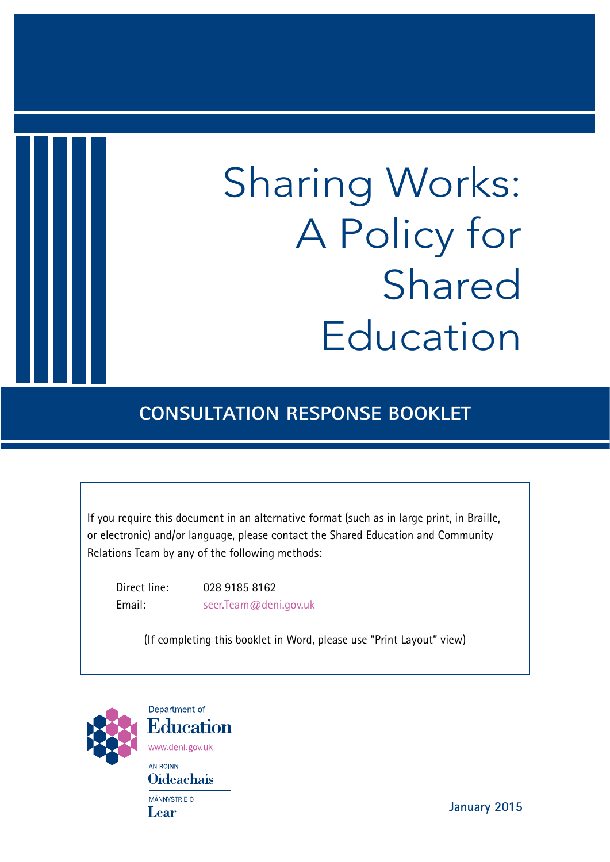# Sharing Works: A Policy for Shared Education

## **CONSULTATION RESPONSE BOOKLET**

If you require this document in an alternative format (such as in large print, in Braille, or electronic) and/or language, please contact the Shared Education and Community Relations Team by any of the following methods:

Direct line: 028 9185 8162 Email: secr.Team@deni.gov.uk

(If completing this booklet in Word, please use "Print Layout" view)



Department of **Education** www.deni.gov.uk AN ROINN **Oideachais** MÄNNYSTRIE O Lear

**January 2015**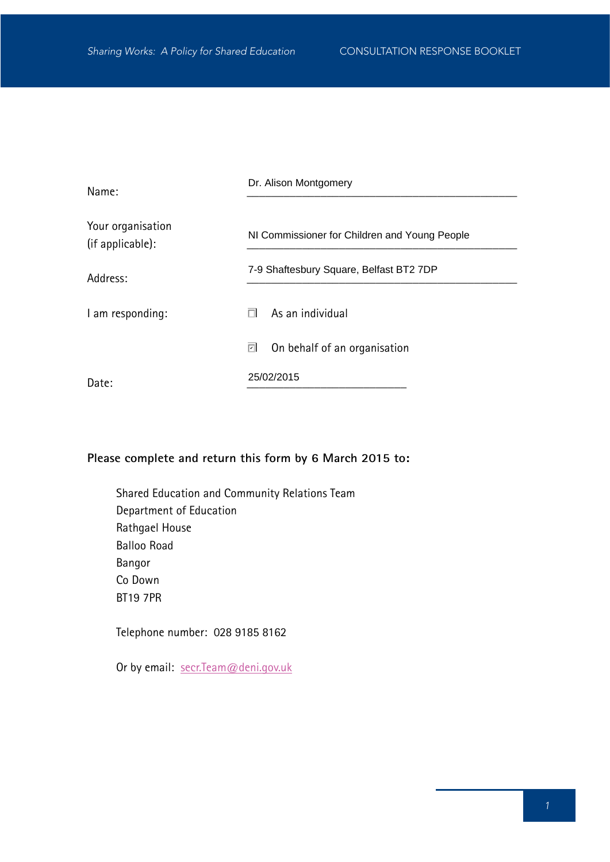| Name:                                 | Dr. Alison Montgomery                         |
|---------------------------------------|-----------------------------------------------|
| Your organisation<br>(if applicable): | NI Commissioner for Children and Young People |
| Address:                              | 7-9 Shaftesbury Square, Belfast BT2 7DP       |
| I am responding:                      | As an individual<br>П                         |
|                                       | ⊡<br>On behalf of an organisation             |
| Date:                                 | 25/02/2015                                    |

## **Please complete and return this form by 6 March 2015 to:**

Shared Education and Community Relations Team Department of Education Rathgael House Balloo Road Bangor Co Down BT19 7PR

Telephone number: 028 9185 8162

Or by email: secr.Team@deni.gov.uk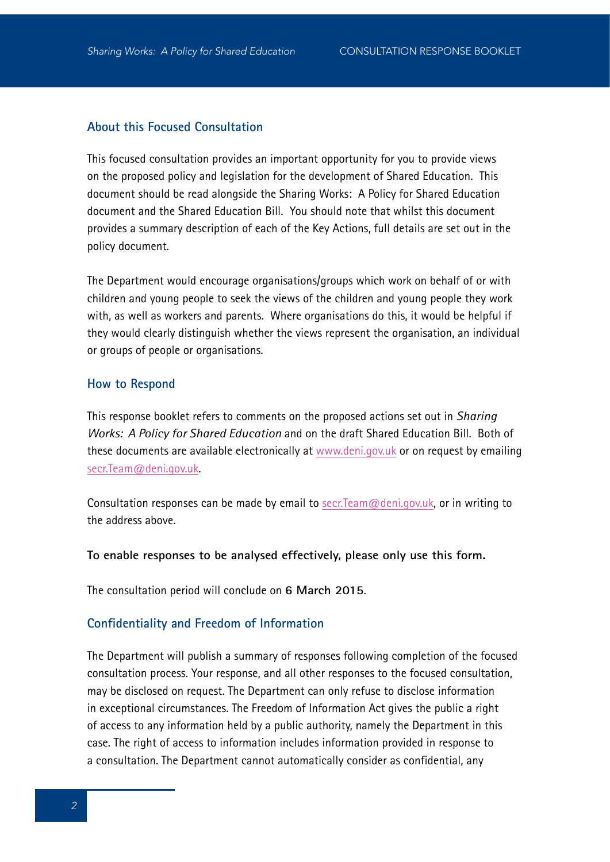## **About this Focused Consultation**

This focused consultation provides an important opportunity for you to provide views on the proposed policy and legislation for the development of Shared Education. This document should be read alongside the Sharing Works: A Policy for Shared Education document and the Shared Education Bill. You should note that whilst this document provides a summary description of each of the Key Actions, full details are set out in the policy document.

The Department would encourage organisations/groups which work on behalf of or with children and young people to seek the views of the children and young people they work with, as well as workers and parents. Where organisations do this, it would be helpful if they would clearly distinguish whether the views represent the organisation, an individual or groups of people or organisations.

#### **How to Respond**

This response booklet refers to comments on the proposed actions set out in *Sharing Works: A Policy for Shared Education* and on the draft Shared Education Bill. Both of these documents are available electronically at www.deni.gov.uk or on request by emailing secr.Team@deni.gov.uk.

Consultation responses can be made by email to secr. Team@deni.gov.uk, or in writing to the address above.

#### **To enable responses to be analysed effectively, please only use this form.**

The consultation period will conclude on **6 March 2015**.

#### **Confidentiality and Freedom of Information**

The Department will publish a summary of responses following completion of the focused consultation process. Your response, and all other responses to the focused consultation, may be disclosed on request. The Department can only refuse to disclose information in exceptional circumstances. The Freedom of Information Act gives the public a right of access to any information held by a public authority, namely the Department in this case. The right of access to information includes information provided in response to a consultation. The Department cannot automatically consider as confidential, any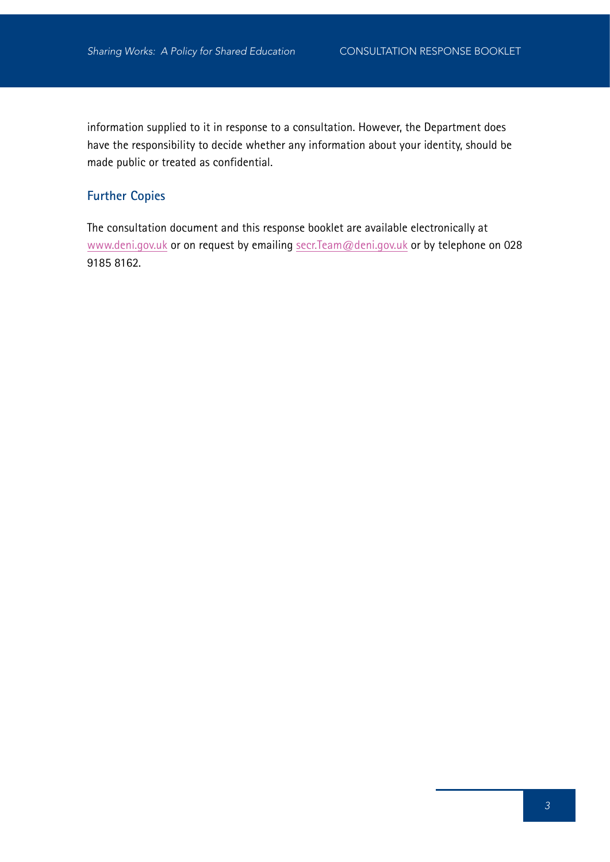information supplied to it in response to a consultation. However, the Department does have the responsibility to decide whether any information about your identity, should be made public or treated as confidential.

## **Further Copies**

The consultation document and this response booklet are available electronically at www.deni.gov.uk or on request by emailing secr.Team@deni.gov.uk or by telephone on 028 9185 8162.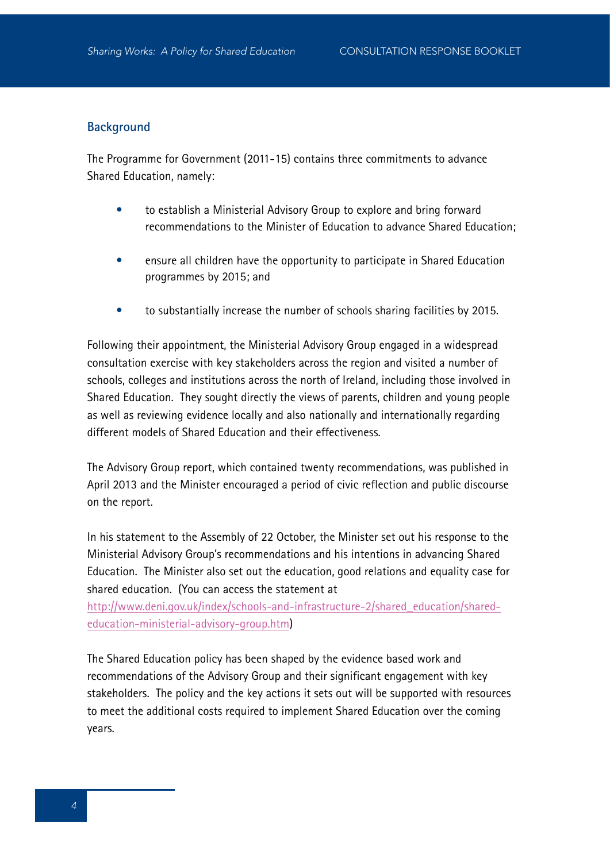#### **Background**

The Programme for Government (2011-15) contains three commitments to advance Shared Education, namely:

- to establish a Ministerial Advisory Group to explore and bring forward recommendations to the Minister of Education to advance Shared Education;
- ensure all children have the opportunity to participate in Shared Education programmes by 2015; and
- to substantially increase the number of schools sharing facilities by 2015.

Following their appointment, the Ministerial Advisory Group engaged in a widespread consultation exercise with key stakeholders across the region and visited a number of schools, colleges and institutions across the north of Ireland, including those involved in Shared Education. They sought directly the views of parents, children and young people as well as reviewing evidence locally and also nationally and internationally regarding different models of Shared Education and their effectiveness.

The Advisory Group report, which contained twenty recommendations, was published in April 2013 and the Minister encouraged a period of civic reflection and public discourse on the report.

In his statement to the Assembly of 22 October, the Minister set out his response to the Ministerial Advisory Group's recommendations and his intentions in advancing Shared Education. The Minister also set out the education, good relations and equality case for shared education. (You can access the statement at

http://www.deni.gov.uk/index/schools-and-infrastructure-2/shared\_education/sharededucation-ministerial-advisory-group.htm)

The Shared Education policy has been shaped by the evidence based work and recommendations of the Advisory Group and their significant engagement with key stakeholders. The policy and the key actions it sets out will be supported with resources to meet the additional costs required to implement Shared Education over the coming years.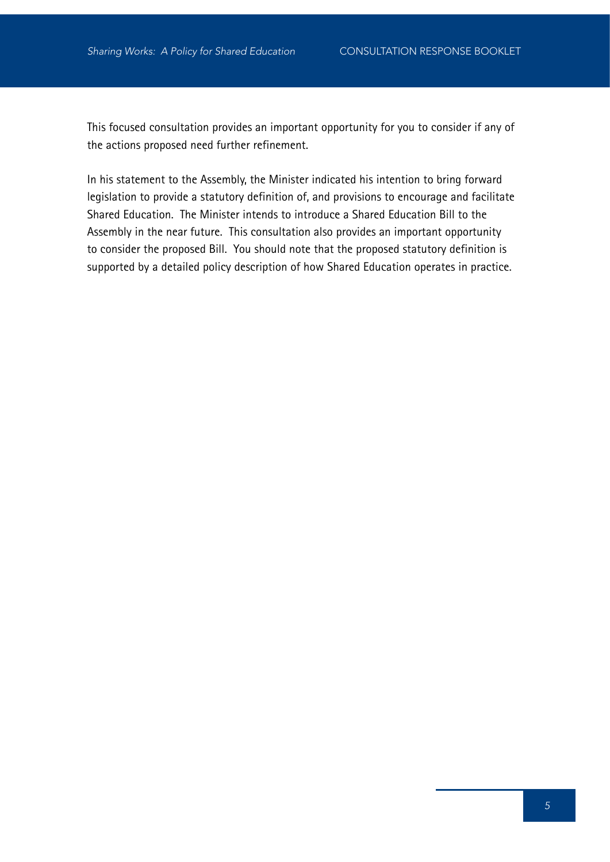This focused consultation provides an important opportunity for you to consider if any of the actions proposed need further refinement.

In his statement to the Assembly, the Minister indicated his intention to bring forward legislation to provide a statutory definition of, and provisions to encourage and facilitate Shared Education. The Minister intends to introduce a Shared Education Bill to the Assembly in the near future. This consultation also provides an important opportunity to consider the proposed Bill. You should note that the proposed statutory definition is supported by a detailed policy description of how Shared Education operates in practice.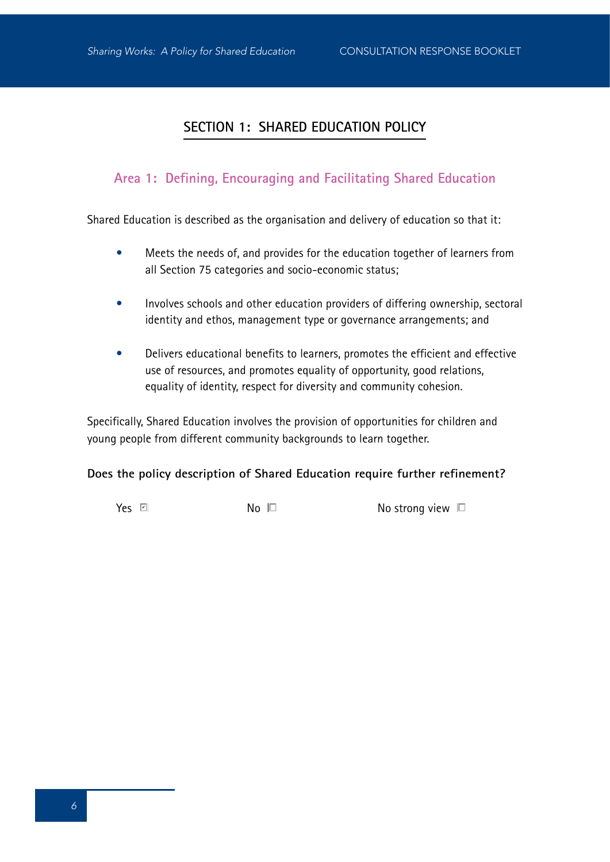## **SECTION 1: SHARED EDUCATION POLICY**

## **Area 1: Defining, Encouraging and Facilitating Shared Education**

Shared Education is described as the organisation and delivery of education so that it:

- Meets the needs of, and provides for the education together of learners from all Section 75 categories and socio-economic status;
- Involves schools and other education providers of differing ownership, sectoral identity and ethos, management type or governance arrangements; and
- Delivers educational benefits to learners, promotes the efficient and effective use of resources, and promotes equality of opportunity, good relations, equality of identity, respect for diversity and community cohesion.

Specifically, Shared Education involves the provision of opportunities for children and young people from different community backgrounds to learn together.

#### **Does the policy description of Shared Education require further refinement?**

Yes ☑

 $\mathsf{No} \ \Box$   $\mathsf{No} \ \mathsf{strong} \ \mathsf{view} \ \Box$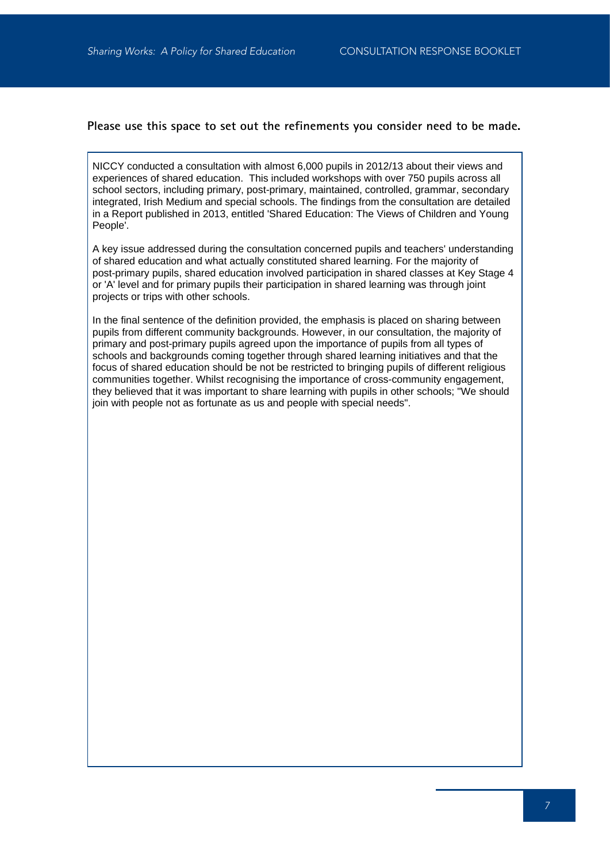#### **Please use this space to set out the refinements you consider need to be made.**

NICCY conducted a consultation with almost 6,000 pupils in 2012/13 about their views and experiences of shared education. This included workshops with over 750 pupils across all school sectors, including primary, post-primary, maintained, controlled, grammar, secondary integrated, Irish Medium and special schools. The findings from the consultation are detailed in a Report published in 2013, entitled 'Shared Education: The Views of Children and Young People'.

A key issue addressed during the consultation concerned pupils and teachers' understanding of shared education and what actually constituted shared learning. For the majority of post-primary pupils, shared education involved participation in shared classes at Key Stage 4 or 'A' level and for primary pupils their participation in shared learning was through joint projects or trips with other schools.

In the final sentence of the definition provided, the emphasis is placed on sharing between pupils from different community backgrounds. However, in our consultation, the majority of primary and post-primary pupils agreed upon the importance of pupils from all types of schools and backgrounds coming together through shared learning initiatives and that the focus of shared education should be not be restricted to bringing pupils of different religious communities together. Whilst recognising the importance of cross-community engagement, they believed that it was important to share learning with pupils in other schools; "We should join with people not as fortunate as us and people with special needs".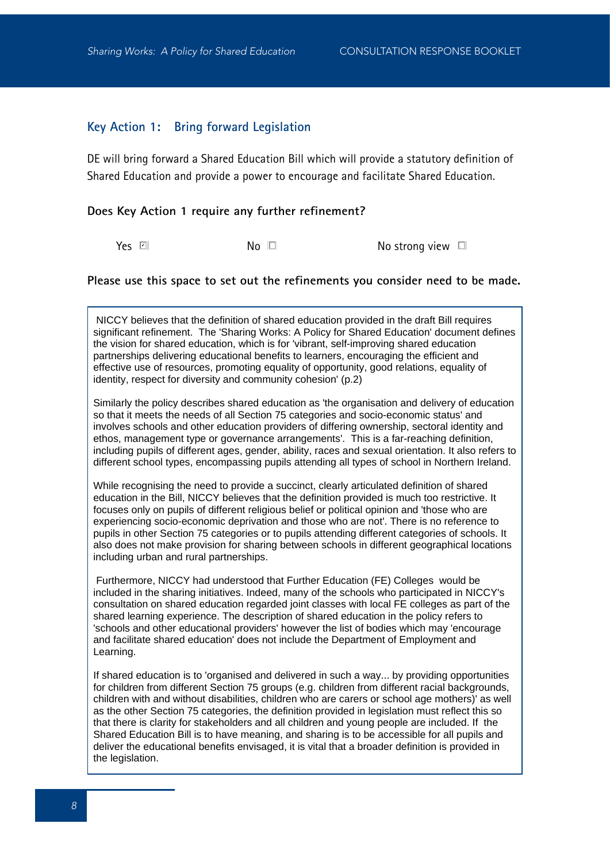#### **Key Action 1: Bring forward Legislation**

DE will bring forward a Shared Education Bill which will provide a statutory definition of Shared Education and provide a power to encourage and facilitate Shared Education.

#### **Does Key Action 1 require any further refinement?**

Yes Z

 $No \Box$  No strong view  $\Box$ 

#### **Please use this space to set out the refinements you consider need to be made.**

 NICCY believes that the definition of shared education provided in the draft Bill requires significant refinement. The 'Sharing Works: A Policy for Shared Education' document defines the vision for shared education, which is for 'vibrant, self-improving shared education partnerships delivering educational benefits to learners, encouraging the efficient and effective use of resources, promoting equality of opportunity, good relations, equality of identity, respect for diversity and community cohesion' (p.2)

Similarly the policy describes shared education as 'the organisation and delivery of education so that it meets the needs of all Section 75 categories and socio-economic status' and involves schools and other education providers of differing ownership, sectoral identity and ethos, management type or governance arrangements'. This is a far-reaching definition, including pupils of different ages, gender, ability, races and sexual orientation. It also refers to different school types, encompassing pupils attending all types of school in Northern Ireland.

While recognising the need to provide a succinct, clearly articulated definition of shared education in the Bill, NICCY believes that the definition provided is much too restrictive. It focuses only on pupils of different religious belief or political opinion and 'those who are experiencing socio-economic deprivation and those who are not'. There is no reference to pupils in other Section 75 categories or to pupils attending different categories of schools. It also does not make provision for sharing between schools in different geographical locations including urban and rural partnerships.

 Furthermore, NICCY had understood that Further Education (FE) Colleges would be included in the sharing initiatives. Indeed, many of the schools who participated in NICCY's consultation on shared education regarded joint classes with local FE colleges as part of the shared learning experience. The description of shared education in the policy refers to 'schools and other educational providers' however the list of bodies which may 'encourage and facilitate shared education' does not include the Department of Employment and Learning.

If shared education is to 'organised and delivered in such a way... by providing opportunities for children from different Section 75 groups (e.g. children from different racial backgrounds, children with and without disabilities, children who are carers or school age mothers)' as well as the other Section 75 categories, the definition provided in legislation must reflect this so that there is clarity for stakeholders and all children and young people are included. If the Shared Education Bill is to have meaning, and sharing is to be accessible for all pupils and deliver the educational benefits envisaged, it is vital that a broader definition is provided in the legislation.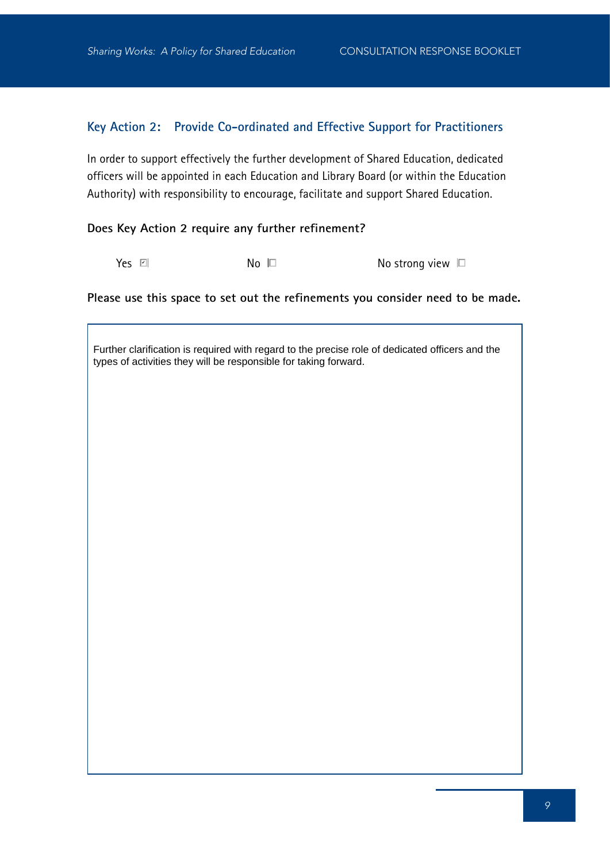## **Key Action 2: Provide Co-ordinated and Effective Support for Practitioners**

In order to support effectively the further development of Shared Education, dedicated officers will be appointed in each Education and Library Board (or within the Education Authority) with responsibility to encourage, facilitate and support Shared Education.

#### **Does Key Action 2 require any further refinement?**

Yes ☑

 $\overline{N}$ o  $\Box$   $\overline{N}$ o strong view  $\Box$ 

**Please use this space to set out the refinements you consider need to be made.**

Further clarification is required with regard to the precise role of dedicated officers and the types of activities they will be responsible for taking forward.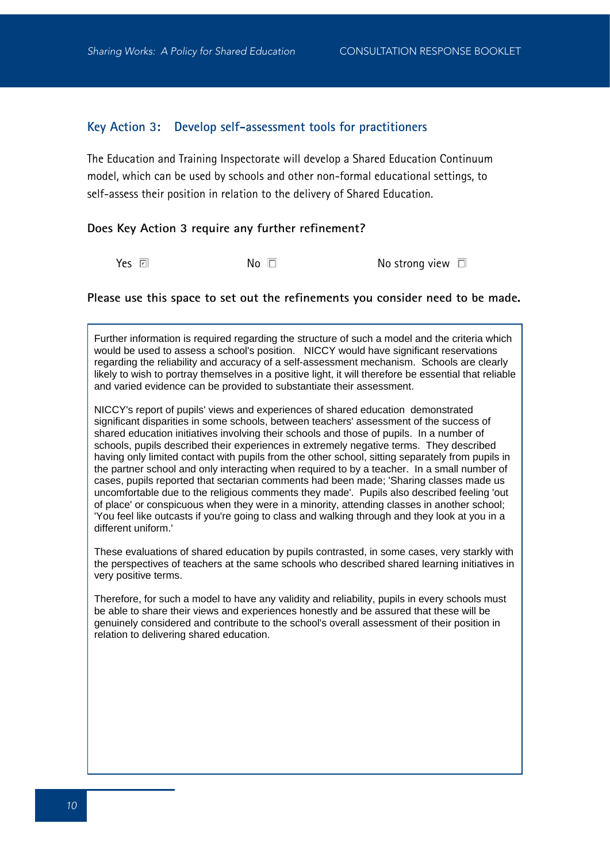#### **Key Action 3: Develop self-assessment tools for practitioners**

The Education and Training Inspectorate will develop a Shared Education Continuum model, which can be used by schools and other non-formal educational settings, to self-assess their position in relation to the delivery of Shared Education.

#### **Does Key Action 3 require any further refinement?**

Yes **☑** 

 $No \t D$  No strong view  $\Box$ 

#### **Please use this space to set out the refinements you consider need to be made.**

Further information is required regarding the structure of such a model and the criteria which would be used to assess a school's position. NICCY would have significant reservations regarding the reliability and accuracy of a self-assessment mechanism. Schools are clearly likely to wish to portray themselves in a positive light, it will therefore be essential that reliable and varied evidence can be provided to substantiate their assessment.

NICCY's report of pupils' views and experiences of shared education demonstrated significant disparities in some schools, between teachers' assessment of the success of shared education initiatives involving their schools and those of pupils. In a number of schools, pupils described their experiences in extremely negative terms. They described having only limited contact with pupils from the other school, sitting separately from pupils in the partner school and only interacting when required to by a teacher. In a small number of cases, pupils reported that sectarian comments had been made; 'Sharing classes made us uncomfortable due to the religious comments they made'. Pupils also described feeling 'out of place' or conspicuous when they were in a minority, attending classes in another school; 'You feel like outcasts if you're going to class and walking through and they look at you in a different uniform.'

These evaluations of shared education by pupils contrasted, in some cases, very starkly with the perspectives of teachers at the same schools who described shared learning initiatives in very positive terms.

Therefore, for such a model to have any validity and reliability, pupils in every schools must be able to share their views and experiences honestly and be assured that these will be genuinely considered and contribute to the school's overall assessment of their position in relation to delivering shared education.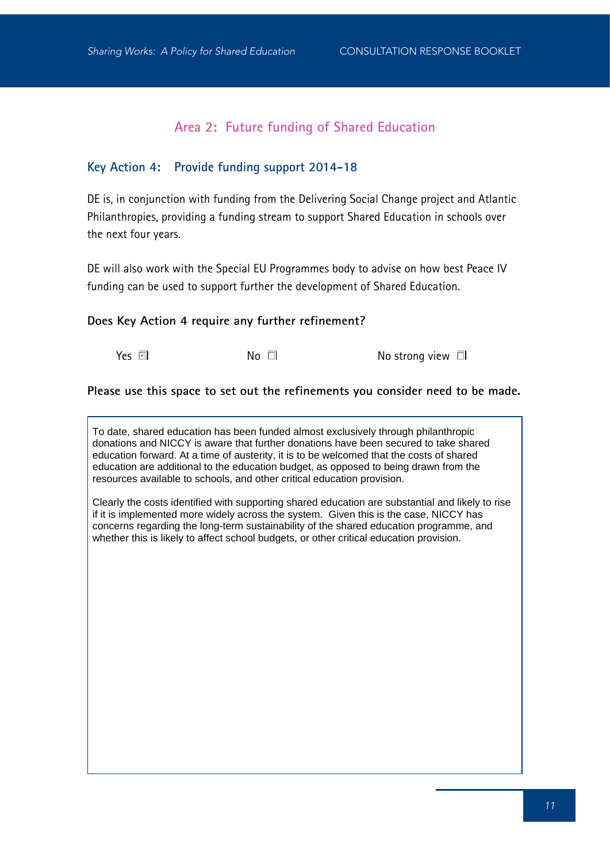## **Area 2: Future funding of Shared Education**

## **Key Action 4: Provide funding support 2014-18**

DE is, in conjunction with funding from the Delivering Social Change project and Atlantic Philanthropies, providing a funding stream to support Shared Education in schools over the next four years.

DE will also work with the Special EU Programmes body to advise on how best Peace IV funding can be used to support further the development of Shared Education.

#### **Does Key Action 4 require any further refinement?**

Yes ⊠l

 $No \Box$  No strong view  $\Box$ 

**Please use this space to set out the refinements you consider need to be made.**

To date, shared education has been funded almost exclusively through philanthropic donations and NICCY is aware that further donations have been secured to take shared education forward. At a time of austerity, it is to be welcomed that the costs of shared education are additional to the education budget, as opposed to being drawn from the resources available to schools, and other critical education provision.

Clearly the costs identified with supporting shared education are substantial and likely to rise if it is implemented more widely across the system. Given this is the case, NICCY has concerns regarding the long-term sustainability of the shared education programme, and whether this is likely to affect school budgets, or other critical education provision.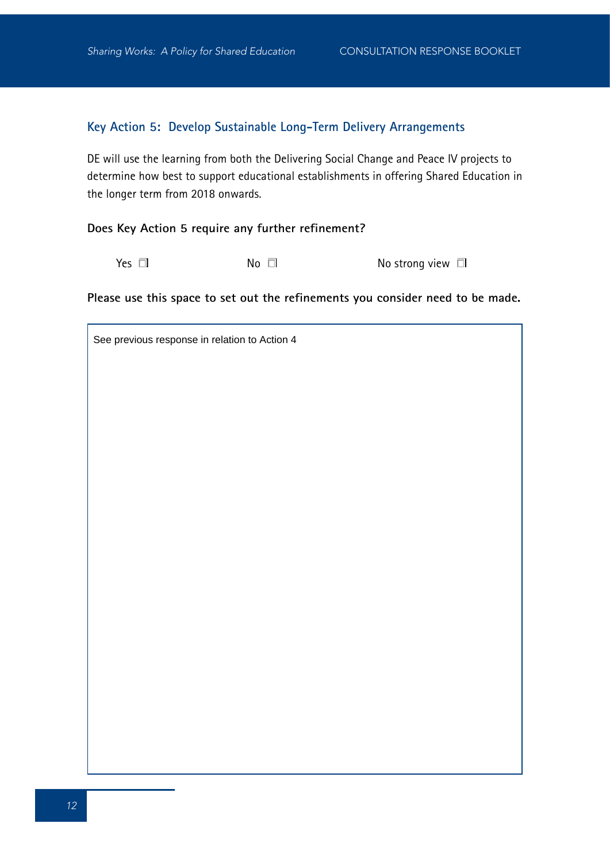## **Key Action 5: Develop Sustainable Long-Term Delivery Arrangements**

DE will use the learning from both the Delivering Social Change and Peace IV projects to determine how best to support educational establishments in offering Shared Education in the longer term from 2018 onwards.

#### **Does Key Action 5 require any further refinement?**

 $Yes \Box$  No  $\Box$  No  $\Box$  No strong view  $\Box$ 

**Please use this space to set out the refinements you consider need to be made.**

See previous response in relation to Action 4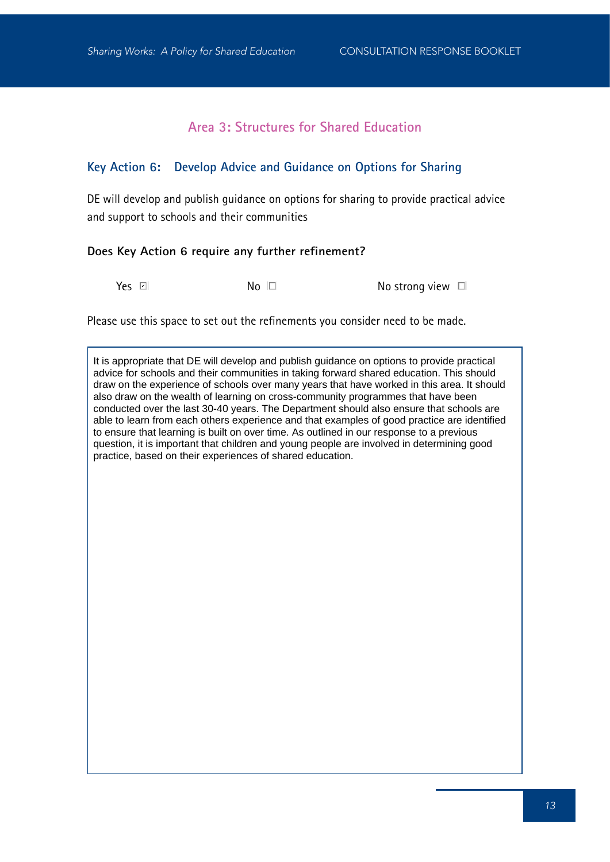## **Area 3: Structures for Shared Education**

## **Key Action 6: Develop Advice and Guidance on Options for Sharing**

DE will develop and publish guidance on options for sharing to provide practical advice and support to schools and their communities

#### **Does Key Action 6 require any further refinement?**

Yes ☑

 $No \tD$  No strong view  $\Box$ 

Please use this space to set out the refinements you consider need to be made.

It is appropriate that DE will develop and publish guidance on options to provide practical advice for schools and their communities in taking forward shared education. This should draw on the experience of schools over many years that have worked in this area. It should also draw on the wealth of learning on cross-community programmes that have been conducted over the last 30-40 years. The Department should also ensure that schools are able to learn from each others experience and that examples of good practice are identified to ensure that learning is built on over time. As outlined in our response to a previous question, it is important that children and young people are involved in determining good practice, based on their experiences of shared education.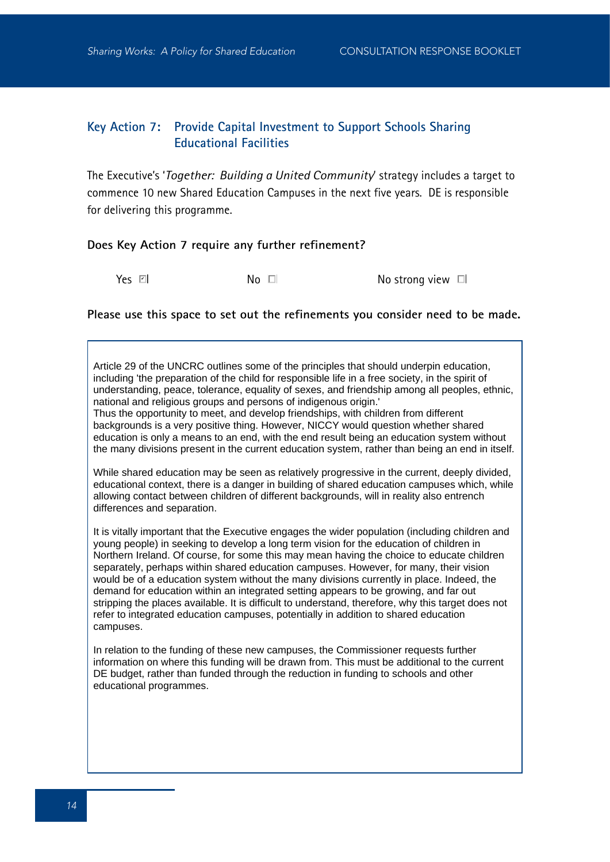## **Key Action 7: Provide Capital Investment to Support Schools Sharing Educational Facilities**

The Executive's '*Together: Building a United Community*' strategy includes a target to commence 10 new Shared Education Campuses in the next five years. DE is responsible for delivering this programme.

#### **Does Key Action 7 require any further refinement?**

Yes a

 $N_0$   $\Box$   $N_0$  strong view  $\Box$ 

#### **Please use this space to set out the refinements you consider need to be made.**

Article 29 of the UNCRC outlines some of the principles that should underpin education, including 'the preparation of the child for responsible life in a free society, in the spirit of understanding, peace, tolerance, equality of sexes, and friendship among all peoples, ethnic, national and religious groups and persons of indigenous origin.'

Thus the opportunity to meet, and develop friendships, with children from different backgrounds is a very positive thing. However, NICCY would question whether shared education is only a means to an end, with the end result being an education system without the many divisions present in the current education system, rather than being an end in itself.

While shared education may be seen as relatively progressive in the current, deeply divided, educational context, there is a danger in building of shared education campuses which, while allowing contact between children of different backgrounds, will in reality also entrench differences and separation.

It is vitally important that the Executive engages the wider population (including children and young people) in seeking to develop a long term vision for the education of children in Northern Ireland. Of course, for some this may mean having the choice to educate children separately, perhaps within shared education campuses. However, for many, their vision would be of a education system without the many divisions currently in place. Indeed, the demand for education within an integrated setting appears to be growing, and far out stripping the places available. It is difficult to understand, therefore, why this target does not refer to integrated education campuses, potentially in addition to shared education campuses.

In relation to the funding of these new campuses, the Commissioner requests further information on where this funding will be drawn from. This must be additional to the current DE budget, rather than funded through the reduction in funding to schools and other educational programmes.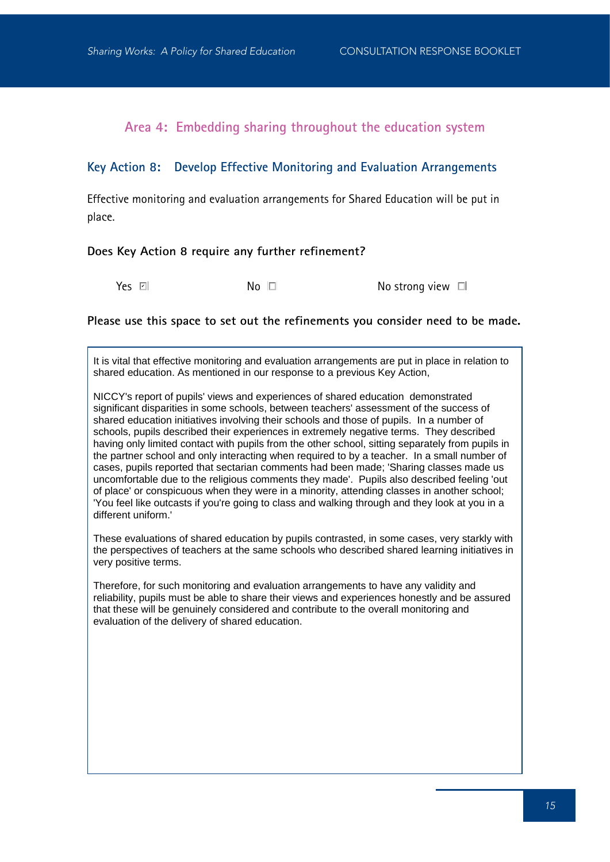**Area 4: Embedding sharing throughout the education system**

#### **Key Action 8: Develop Effective Monitoring and Evaluation Arrangements**

Effective monitoring and evaluation arrangements for Shared Education will be put in place.

#### **Does Key Action 8 require any further refinement?**

Yes **Z** 

 $No \tI$   $No \tI$ 

#### **Please use this space to set out the refinements you consider need to be made.**

It is vital that effective monitoring and evaluation arrangements are put in place in relation to shared education. As mentioned in our response to a previous Key Action,

NICCY's report of pupils' views and experiences of shared education demonstrated significant disparities in some schools, between teachers' assessment of the success of shared education initiatives involving their schools and those of pupils. In a number of schools, pupils described their experiences in extremely negative terms. They described having only limited contact with pupils from the other school, sitting separately from pupils in the partner school and only interacting when required to by a teacher. In a small number of cases, pupils reported that sectarian comments had been made; 'Sharing classes made us uncomfortable due to the religious comments they made'. Pupils also described feeling 'out of place' or conspicuous when they were in a minority, attending classes in another school; 'You feel like outcasts if you're going to class and walking through and they look at you in a different uniform.'

These evaluations of shared education by pupils contrasted, in some cases, very starkly with the perspectives of teachers at the same schools who described shared learning initiatives in very positive terms.

Therefore, for such monitoring and evaluation arrangements to have any validity and reliability, pupils must be able to share their views and experiences honestly and be assured that these will be genuinely considered and contribute to the overall monitoring and evaluation of the delivery of shared education.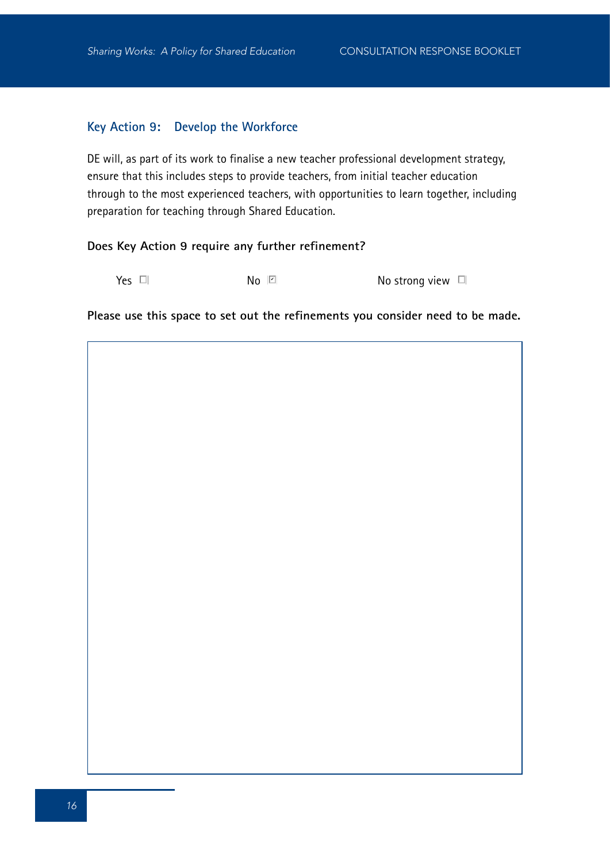#### **Key Action 9: Develop the Workforce**

DE will, as part of its work to finalise a new teacher professional development strategy, ensure that this includes steps to provide teachers, from initial teacher education through to the most experienced teachers, with opportunities to learn together, including preparation for teaching through Shared Education.

#### **Does Key Action 9 require any further refinement?**

 $Y$ es  $\Box$   $\Box$  No  $\Box$  No  $\Box$  No strong view  $\Box$  $\mathsf{No} \ \boxdot$ 

**Please use this space to set out the refinements you consider need to be made.**

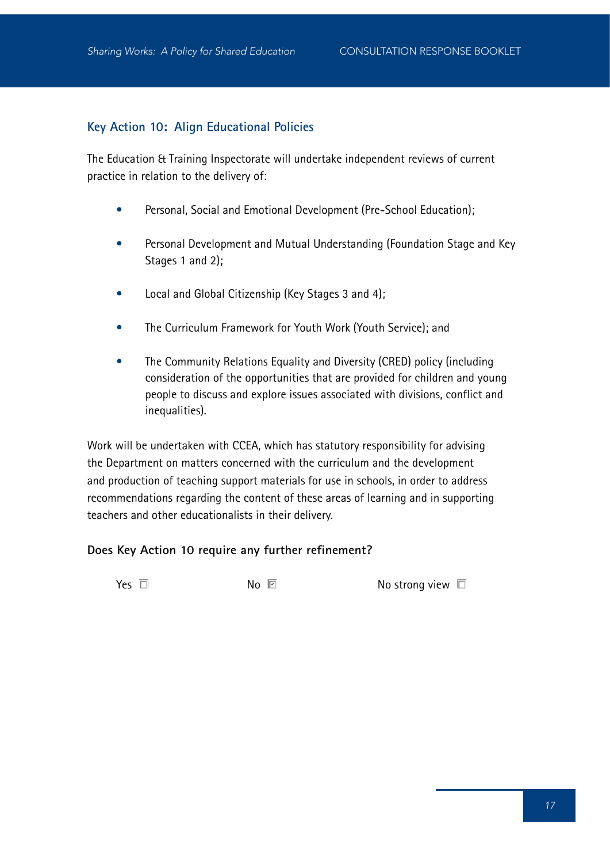## **Key Action 10: Align Educational Policies**

The Education & Training Inspectorate will undertake independent reviews of current practice in relation to the delivery of:

- Personal, Social and Emotional Development (Pre-School Education);
- Personal Development and Mutual Understanding (Foundation Stage and Key Stages 1 and 2);
- Local and Global Citizenship (Key Stages 3 and 4);
- The Curriculum Framework for Youth Work (Youth Service); and
- The Community Relations Equality and Diversity (CRED) policy (including consideration of the opportunities that are provided for children and young people to discuss and explore issues associated with divisions, conflict and inequalities).

Work will be undertaken with CCEA, which has statutory responsibility for advising the Department on matters concerned with the curriculum and the development and production of teaching support materials for use in schools, in order to address recommendations regarding the content of these areas of learning and in supporting teachers and other educationalists in their delivery.

#### **Does Key Action 10 require any further refinement?**

 $Yes \Box$ 

No strong view  $\square$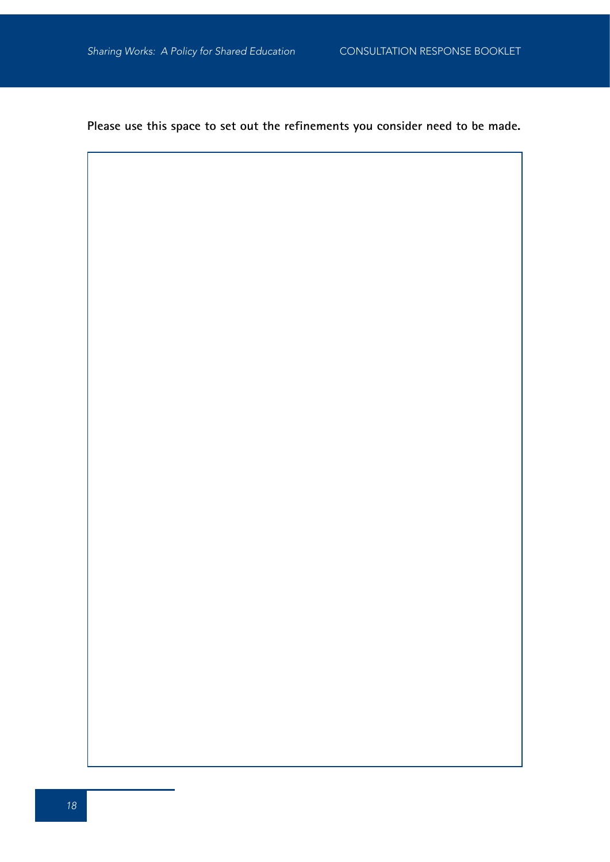**Please use this space to set out the refinements you consider need to be made.**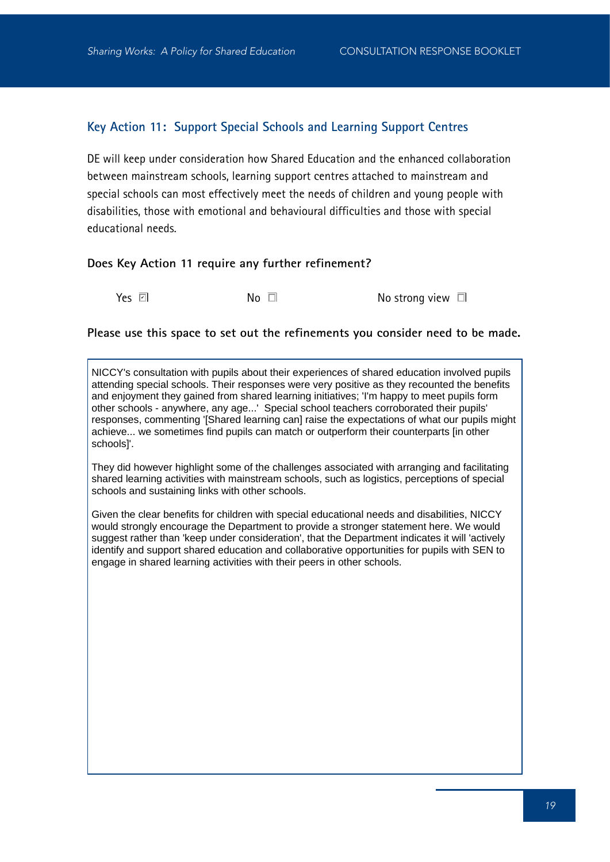## **Key Action 11: Support Special Schools and Learning Support Centres**

DE will keep under consideration how Shared Education and the enhanced collaboration between mainstream schools, learning support centres attached to mainstream and special schools can most effectively meet the needs of children and young people with disabilities, those with emotional and behavioural difficulties and those with special educational needs.

#### **Does Key Action 11 require any further refinement?**

Yes **Z** 

 $No$   $\Box$   $No$  strong view  $\Box$ 

#### **Please use this space to set out the refinements you consider need to be made.**

NICCY's consultation with pupils about their experiences of shared education involved pupils attending special schools. Their responses were very positive as they recounted the benefits and enjoyment they gained from shared learning initiatives; 'I'm happy to meet pupils form other schools - anywhere, any age...' Special school teachers corroborated their pupils' responses, commenting '[Shared learning can] raise the expectations of what our pupils might achieve... we sometimes find pupils can match or outperform their counterparts [in other schools]'.

They did however highlight some of the challenges associated with arranging and facilitating shared learning activities with mainstream schools, such as logistics, perceptions of special schools and sustaining links with other schools.

Given the clear benefits for children with special educational needs and disabilities, NICCY would strongly encourage the Department to provide a stronger statement here. We would suggest rather than 'keep under consideration', that the Department indicates it will 'actively identify and support shared education and collaborative opportunities for pupils with SEN to engage in shared learning activities with their peers in other schools.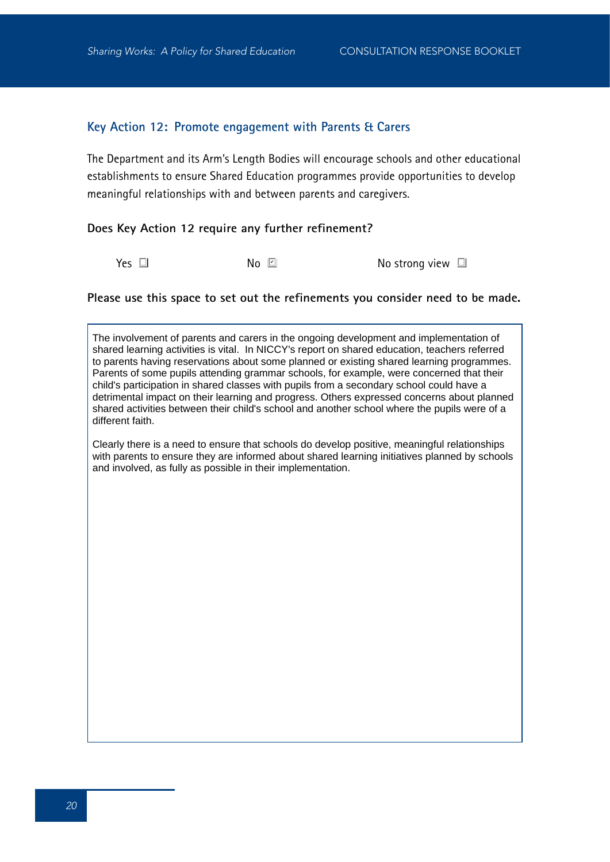#### **Key Action 12: Promote engagement with Parents & Carers**

The Department and its Arm's Length Bodies will encourage schools and other educational establishments to ensure Shared Education programmes provide opportunities to develop meaningful relationships with and between parents and caregivers.

#### **Does Key Action 12 require any further refinement?**

 $\blacksquare$   $\blacksquare$   $\blacksquare$   $\blacksquare$   $\blacksquare$   $\blacksquare$   $\blacksquare$   $\blacksquare$   $\blacksquare$ 

#### **Please use this space to set out the refinements you consider need to be made.**

The involvement of parents and carers in the ongoing development and implementation of shared learning activities is vital. In NICCY's report on shared education, teachers referred to parents having reservations about some planned or existing shared learning programmes. Parents of some pupils attending grammar schools, for example, were concerned that their child's participation in shared classes with pupils from a secondary school could have a detrimental impact on their learning and progress. Others expressed concerns about planned shared activities between their child's school and another school where the pupils were of a different faith.

Clearly there is a need to ensure that schools do develop positive, meaningful relationships with parents to ensure they are informed about shared learning initiatives planned by schools and involved, as fully as possible in their implementation.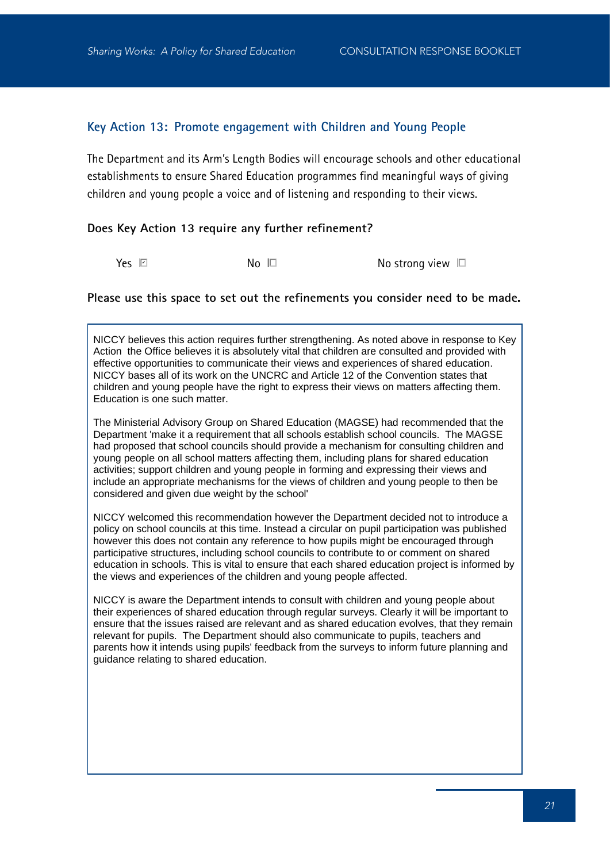#### **Key Action 13: Promote engagement with Children and Young People**

The Department and its Arm's Length Bodies will encourage schools and other educational establishments to ensure Shared Education programmes find meaningful ways of giving children and young people a voice and of listening and responding to their views.

#### **Does Key Action 13 require any further refinement?**

Yes **☑** 

 $\mathsf{No} \ \Box$  No strong view  $\Box$ 

#### **Please use this space to set out the refinements you consider need to be made.**

NICCY believes this action requires further strengthening. As noted above in response to Key Action the Office believes it is absolutely vital that children are consulted and provided with effective opportunities to communicate their views and experiences of shared education. NICCY bases all of its work on the UNCRC and Article 12 of the Convention states that children and young people have the right to express their views on matters affecting them. Education is one such matter.

The Ministerial Advisory Group on Shared Education (MAGSE) had recommended that the Department 'make it a requirement that all schools establish school councils. The MAGSE had proposed that school councils should provide a mechanism for consulting children and young people on all school matters affecting them, including plans for shared education activities; support children and young people in forming and expressing their views and include an appropriate mechanisms for the views of children and young people to then be considered and given due weight by the school'

NICCY welcomed this recommendation however the Department decided not to introduce a policy on school councils at this time. Instead a circular on pupil participation was published however this does not contain any reference to how pupils might be encouraged through participative structures, including school councils to contribute to or comment on shared education in schools. This is vital to ensure that each shared education project is informed by the views and experiences of the children and young people affected.

NICCY is aware the Department intends to consult with children and young people about their experiences of shared education through regular surveys. Clearly it will be important to ensure that the issues raised are relevant and as shared education evolves, that they remain relevant for pupils. The Department should also communicate to pupils, teachers and parents how it intends using pupils' feedback from the surveys to inform future planning and guidance relating to shared education.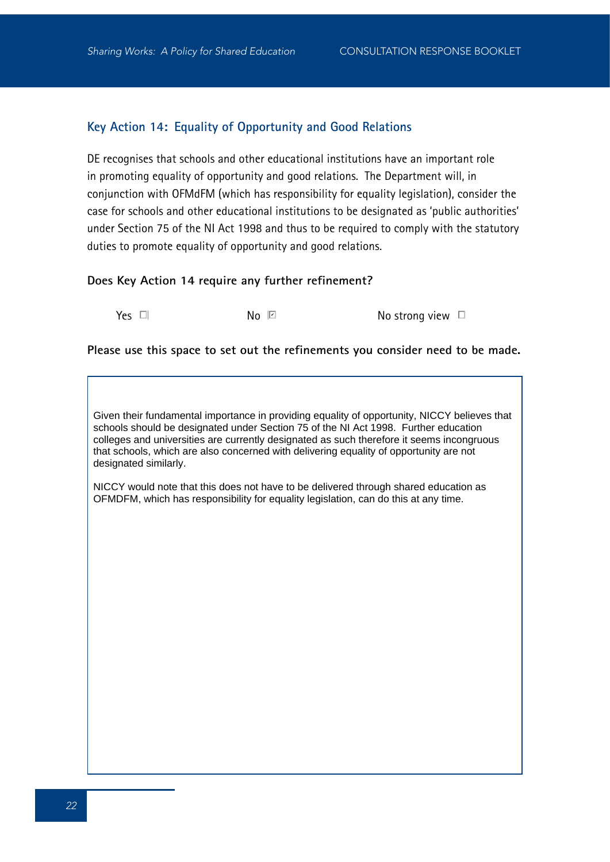## **Key Action 14: Equality of Opportunity and Good Relations**

DE recognises that schools and other educational institutions have an important role in promoting equality of opportunity and good relations. The Department will, in conjunction with OFMdFM (which has responsibility for equality legislation), consider the case for schools and other educational institutions to be designated as 'public authorities' under Section 75 of the NI Act 1998 and thus to be required to comply with the statutory duties to promote equality of opportunity and good relations.

#### **Does Key Action 14 require any further refinement?**

 $No \tIm$ 

 $Y$ es  $\Box$   $\Box$  No  $\Box$  No  $\Box$  No strong view  $\Box$ 

#### **Please use this space to set out the refinements you consider need to be made.**

Given their fundamental importance in providing equality of opportunity, NICCY believes that schools should be designated under Section 75 of the NI Act 1998. Further education colleges and universities are currently designated as such therefore it seems incongruous that schools, which are also concerned with delivering equality of opportunity are not designated similarly.

NICCY would note that this does not have to be delivered through shared education as OFMDFM, which has responsibility for equality legislation, can do this at any time.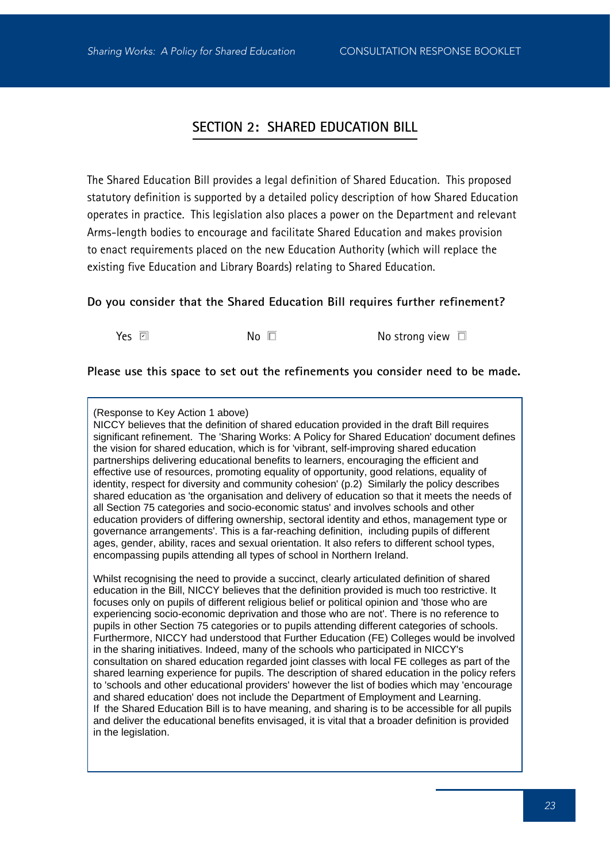## **SECTION 2: SHARED EDUCATION BILL**

The Shared Education Bill provides a legal definition of Shared Education. This proposed statutory definition is supported by a detailed policy description of how Shared Education operates in practice. This legislation also places a power on the Department and relevant Arms-length bodies to encourage and facilitate Shared Education and makes provision to enact requirements placed on the new Education Authority (which will replace the existing five Education and Library Boards) relating to Shared Education.

#### **Do you consider that the Shared Education Bill requires further refinement?**

Yes **Z** 

 $\mathsf{No} \ \Box$  No strong view  $\Box$ 

**Please use this space to set out the refinements you consider need to be made.**

(Response to Key Action 1 above)

NICCY believes that the definition of shared education provided in the draft Bill requires significant refinement. The 'Sharing Works: A Policy for Shared Education' document defines the vision for shared education, which is for 'vibrant, self-improving shared education partnerships delivering educational benefits to learners, encouraging the efficient and effective use of resources, promoting equality of opportunity, good relations, equality of identity, respect for diversity and community cohesion' (p.2) Similarly the policy describes shared education as 'the organisation and delivery of education so that it meets the needs of all Section 75 categories and socio-economic status' and involves schools and other education providers of differing ownership, sectoral identity and ethos, management type or governance arrangements'. This is a far-reaching definition, including pupils of different ages, gender, ability, races and sexual orientation. It also refers to different school types, encompassing pupils attending all types of school in Northern Ireland.

Whilst recognising the need to provide a succinct, clearly articulated definition of shared education in the Bill, NICCY believes that the definition provided is much too restrictive. It focuses only on pupils of different religious belief or political opinion and 'those who are experiencing socio-economic deprivation and those who are not'. There is no reference to pupils in other Section 75 categories or to pupils attending different categories of schools. Furthermore, NICCY had understood that Further Education (FE) Colleges would be involved in the sharing initiatives. Indeed, many of the schools who participated in NICCY's consultation on shared education regarded joint classes with local FE colleges as part of the shared learning experience for pupils. The description of shared education in the policy refers to 'schools and other educational providers' however the list of bodies which may 'encourage and shared education' does not include the Department of Employment and Learning. If the Shared Education Bill is to have meaning, and sharing is to be accessible for all pupils and deliver the educational benefits envisaged, it is vital that a broader definition is provided in the legislation.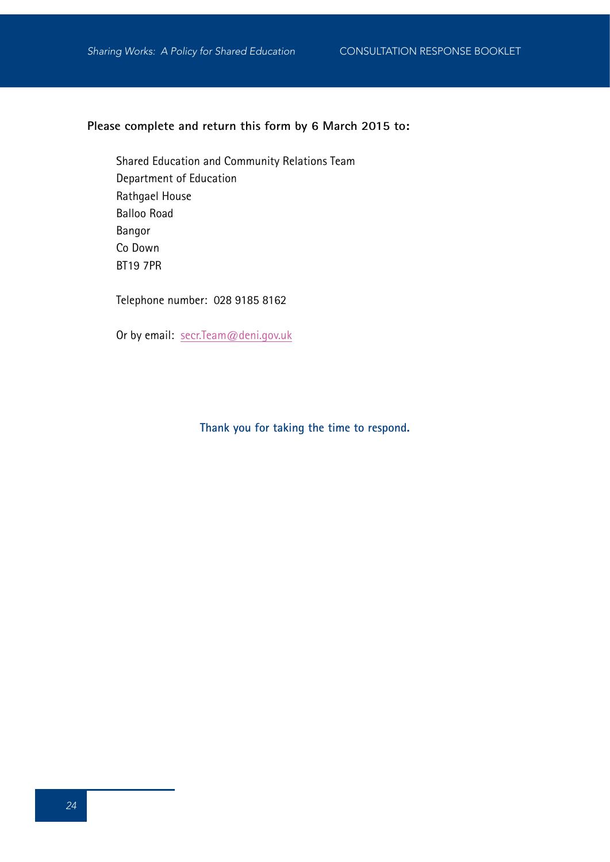## **Please complete and return this form by 6 March 2015 to:**

Shared Education and Community Relations Team Department of Education Rathgael House Balloo Road Bangor Co Down BT19 7PR

Telephone number: 028 9185 8162

Or by email: secr.Team@deni.gov.uk

## **Thank you for taking the time to respond.**